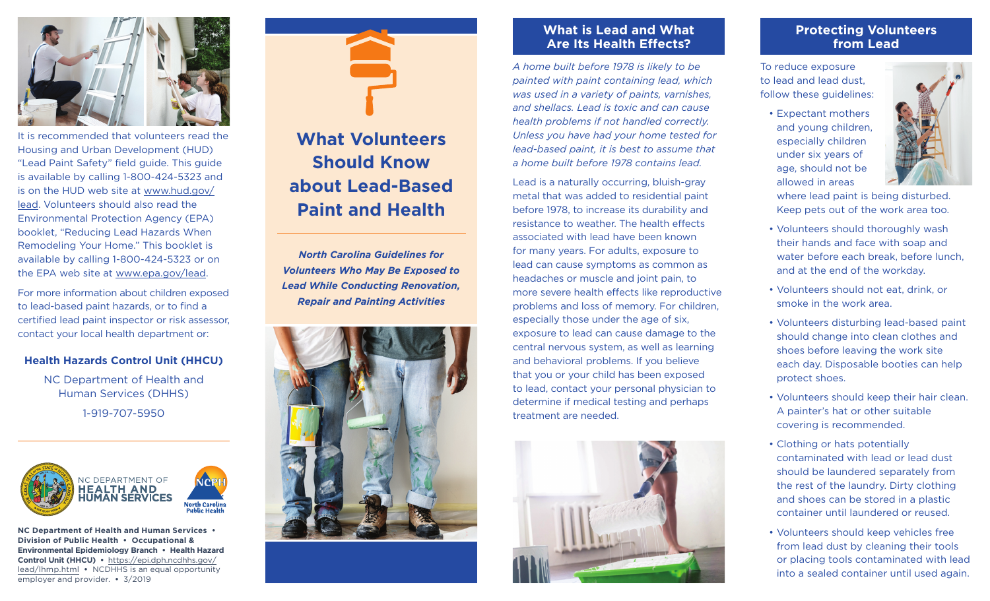

It is recommended that volunteers read the Housing and Urban Development (HUD) "Lead Paint Safety" field guide. This guide is available by calling 1-800-424-5323 and is on the HUD web site at [www.hud.gov/](https://www.hud.gov/lead) [lead.](https://www.hud.gov/lead) Volunteers should also read the Environmental Protection Agency (EPA) booklet, "Reducing Lead Hazards When Remodeling Your Home." This booklet is available by calling 1-800-424-5323 or on the EPA web site at [www.epa.gov/lead.](https://www.epa.gov/lead)

For more information about children exposed to lead-based paint hazards, or to find a certified lead paint inspector or risk assessor, contact your local health department or:

#### **Health Hazards Control Unit (HHCU)**

NC Department of Health and Human Services (DHHS) 1-919-707-5950



**NC Department of Health and Human Services • Division of Public Health • Occupational & Environmental Epidemiology Branch • Health Hazard Control Unit (HHCU) •** https://epi.[dph.ncdhhs](https://epi.dph.ncdhhs.gov/lead/lhmp.html).gov/ [lead/lhmp.html](https://epi.dph.ncdhhs.gov/lead/lhmp.html) **•** NCDHHS is an equal opportunity employer and provider. **•** 3/2019

# **What Volunteers Should Know about Lead-Based Paint and Health**

*North Carolina Guidelines for Volunteers Who May Be Exposed to Lead While Conducting Renovation, Repair and Painting Activities*



## **What is Lead and What Are Its Health Effects?**

*A home built before 1978 is likely to be painted with paint containing lead, which was used in a variety of paints, varnishes, and shellacs. Lead is toxic and can cause health problems if not handled correctly. Unless you have had your home tested for lead-based paint, it is best to assume that a home built before 1978 contains lead.*

Lead is a naturally occurring, bluish-gray metal that was added to residential paint before 1978, to increase its durability and resistance to weather. The health effects associated with lead have been known for many years. For adults, exposure to lead can cause symptoms as common as headaches or muscle and joint pain, to more severe health effects like reproductive problems and loss of memory. For children, especially those under the age of six, exposure to lead can cause damage to the central nervous system, as well as learning and behavioral problems. If you believe that you or your child has been exposed to lead, contact your personal physician to determine if medical testing and perhaps treatment are needed.



## **Protecting Volunteers from Lead**

To reduce exposure to lead and lead dust, follow these guidelines:

> • Expectant mothers and young children, especially children under six years of age, should not be allowed in areas



where lead paint is being disturbed. Keep pets out of the work area too.

- Volunteers should thoroughly wash their hands and face with soap and water before each break, before lunch, and at the end of the workday.
- Volunteers should not eat, drink, or smoke in the work area.
- Volunteers disturbing lead-based paint should change into clean clothes and shoes before leaving the work site each day. Disposable booties can help protect shoes.
- Volunteers should keep their hair clean. A painter's hat or other suitable covering is recommended.
- Clothing or hats potentially contaminated with lead or lead dust should be laundered separately from the rest of the laundry. Dirty clothing and shoes can be stored in a plastic container until laundered or reused.
- Volunteers should keep vehicles free from lead dust by cleaning their tools or placing tools contaminated with lead into a sealed container until used again.